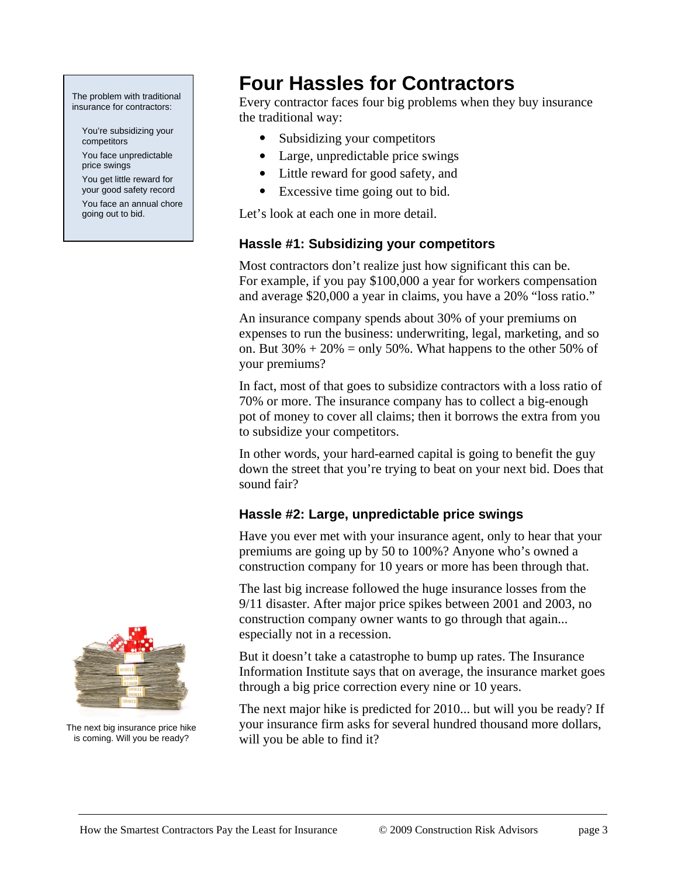#### The problem with traditional insurance for contractors:

 You're subsidizing your competitors

 You face unpredictable price swings

 You get little reward for your good safety record

 You face an annual chore going out to bid.

# **Four Hassles for Contractors**

Every contractor faces four big problems when they buy insurance the traditional way:

- Subsidizing your competitors
- Large, unpredictable price swings
- Little reward for good safety, and
- Excessive time going out to bid.

Let's look at each one in more detail.

# **Hassle #1: Subsidizing your competitors**

Most contractors don't realize just how significant this can be. For example, if you pay \$100,000 a year for workers compensation and average \$20,000 a year in claims, you have a 20% "loss ratio."

An insurance company spends about 30% of your premiums on expenses to run the business: underwriting, legal, marketing, and so on. But  $30\% + 20\% = \text{only } 50\%$ . What happens to the other 50% of your premiums?

In fact, most of that goes to subsidize contractors with a loss ratio of 70% or more. The insurance company has to collect a big-enough pot of money to cover all claims; then it borrows the extra from you to subsidize your competitors.

In other words, your hard-earned capital is going to benefit the guy down the street that you're trying to beat on your next bid. Does that sound fair?

# **Hassle #2: Large, unpredictable price swings**

Have you ever met with your insurance agent, only to hear that your premiums are going up by 50 to 100%? Anyone who's owned a construction company for 10 years or more has been through that.

The last big increase followed the huge insurance losses from the 9/11 disaster. After major price spikes between 2001 and 2003, no construction company owner wants to go through that again... especially not in a recession.

But it doesn't take a catastrophe to bump up rates. The Insurance Information Institute says that on average, the insurance market goes through a big price correction every nine or 10 years.

The next major hike is predicted for 2010... but will you be ready? If your insurance firm asks for several hundred thousand more dollars, will you be able to find it?



The next big insurance price hike is coming. Will you be ready?